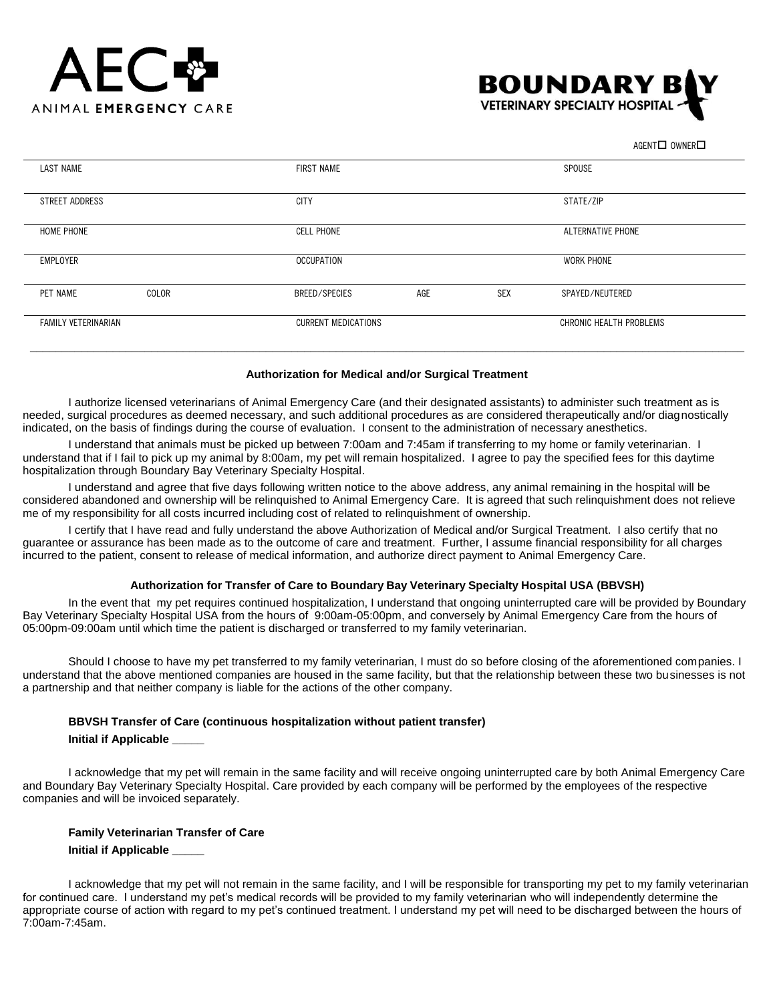



 $AGENT$  OWNER $\square$ 

| <b>LAST NAME</b>    |       | <b>FIRST NAME</b>          |     |                         | SPOUSE          |
|---------------------|-------|----------------------------|-----|-------------------------|-----------------|
|                     |       |                            |     |                         |                 |
|                     |       |                            |     |                         |                 |
| STREET ADDRESS      |       | <b>CITY</b>                |     | STATE/ZIP               |                 |
|                     |       |                            |     |                         |                 |
| HOME PHONE          |       | <b>CELL PHONE</b>          |     | ALTERNATIVE PHONE       |                 |
|                     |       |                            |     |                         |                 |
|                     |       |                            |     |                         |                 |
| EMPLOYER            |       | <b>OCCUPATION</b>          |     | WORK PHONE              |                 |
|                     |       |                            |     |                         |                 |
|                     |       |                            |     |                         |                 |
| PET NAME            | COLOR | BREED/SPECIES              | AGE | <b>SEX</b>              | SPAYED/NEUTERED |
|                     |       |                            |     |                         |                 |
| FAMILY VETERINARIAN |       | <b>CURRENT MEDICATIONS</b> |     | CHRONIC HEALTH PROBLEMS |                 |
|                     |       |                            |     |                         |                 |
|                     |       |                            |     |                         |                 |
|                     |       |                            |     |                         |                 |

# **Authorization for Medical and/or Surgical Treatment**

I authorize licensed veterinarians of Animal Emergency Care (and their designated assistants) to administer such treatment as is needed, surgical procedures as deemed necessary, and such additional procedures as are considered therapeutically and/or diagnostically indicated, on the basis of findings during the course of evaluation. I consent to the administration of necessary anesthetics.

I understand that animals must be picked up between 7:00am and 7:45am if transferring to my home or family veterinarian. I understand that if I fail to pick up my animal by 8:00am, my pet will remain hospitalized. I agree to pay the specified fees for this daytime hospitalization through Boundary Bay Veterinary Specialty Hospital.

I understand and agree that five days following written notice to the above address, any animal remaining in the hospital will be considered abandoned and ownership will be relinquished to Animal Emergency Care. It is agreed that such relinquishment does not relieve me of my responsibility for all costs incurred including cost of related to relinquishment of ownership.

I certify that I have read and fully understand the above Authorization of Medical and/or Surgical Treatment. I also certify that no guarantee or assurance has been made as to the outcome of care and treatment. Further, I assume financial responsibility for all charges incurred to the patient, consent to release of medical information, and authorize direct payment to Animal Emergency Care.

# **Authorization for Transfer of Care to Boundary Bay Veterinary Specialty Hospital USA (BBVSH)**

In the event that my pet requires continued hospitalization, I understand that ongoing uninterrupted care will be provided by Boundary Bay Veterinary Specialty Hospital USA from the hours of 9:00am-05:00pm, and conversely by Animal Emergency Care from the hours of 05:00pm-09:00am until which time the patient is discharged or transferred to my family veterinarian.

Should I choose to have my pet transferred to my family veterinarian, I must do so before closing of the aforementioned companies. I understand that the above mentioned companies are housed in the same facility, but that the relationship between these two businesses is not a partnership and that neither company is liable for the actions of the other company.

#### **BBVSH Transfer of Care (continuous hospitalization without patient transfer)**

#### **Initial if Applicable \_\_\_\_\_**

I acknowledge that my pet will remain in the same facility and will receive ongoing uninterrupted care by both Animal Emergency Care and Boundary Bay Veterinary Specialty Hospital. Care provided by each company will be performed by the employees of the respective companies and will be invoiced separately.

# **Family Veterinarian Transfer of Care**

#### **Initial if Applicable \_\_\_\_\_**

I acknowledge that my pet will not remain in the same facility, and I will be responsible for transporting my pet to my family veterinarian for continued care. I understand my pet's medical records will be provided to my family veterinarian who will independently determine the appropriate course of action with regard to my pet's continued treatment. I understand my pet will need to be discharged between the hours of 7:00am-7:45am.